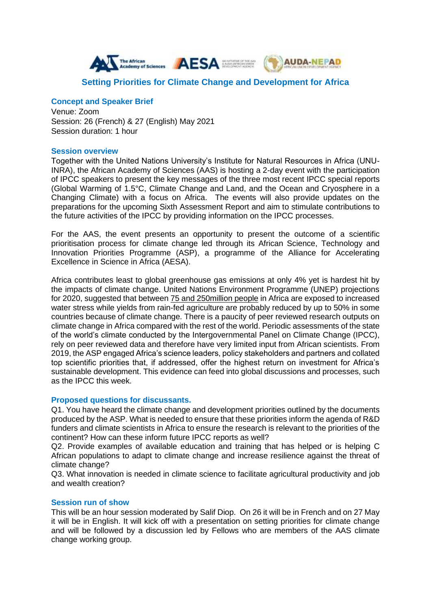

# **Setting Priorities for Climate Change and Development for Africa**

# **Concept and Speaker Brief**

Venue: Zoom Session: 26 (French) & 27 (English) May 2021 Session duration: 1 hour

#### **Session overview**

Together with the United Nations University's Institute for Natural Resources in Africa (UNU-INRA), the African Academy of Sciences (AAS) is hosting a 2-day event with the participation of IPCC speakers to present the key messages of the three most recent IPCC special reports (Global Warming of 1.5°C, Climate Change and Land, and the Ocean and Cryosphere in a Changing Climate) with a focus on Africa. The events will also provide updates on the preparations for the upcoming Sixth Assessment Report and aim to stimulate contributions to the future activities of the IPCC by providing information on the IPCC processes.

For the AAS, the event presents an opportunity to present the outcome of a scientific prioritisation process for climate change led through its African Science, Technology and Innovation Priorities Programme (ASP), a programme of the Alliance for Accelerating Excellence in Science in Africa (AESA).

Africa contributes least to global greenhouse gas emissions at only 4% yet is hardest hit by the impacts of climate change. United Nations Environment Programme (UNEP) projections for 2020, suggested that between [75 and 250million people](https://unepdtu.org/regional-technology-brief-africa/) in Africa are exposed to increased water stress while yields from rain-fed agriculture are probably reduced by up to 50% in some countries because of climate change. There is a paucity of peer reviewed research outputs on climate change in Africa compared with the rest of the world. Periodic assessments of the state of the world's climate conducted by the Intergovernmental Panel on Climate Change (IPCC), rely on peer reviewed data and therefore have very limited input from African scientists. From 2019, the ASP engaged Africa's science leaders, policy stakeholders and partners and collated top scientific priorities that, if addressed, offer the highest return on investment for Africa's sustainable development. This evidence can feed into global discussions and processes, such as the IPCC this week.

# **Proposed questions for discussants.**

Q1. You have heard the climate change and development priorities outlined by the documents produced by the ASP. What is needed to ensure that these priorities inform the agenda of R&D funders and climate scientists in Africa to ensure the research is relevant to the priorities of the continent? How can these inform future IPCC reports as well?

Q2. Provide examples of available education and training that has helped or is helping C African populations to adapt to climate change and increase resilience against the threat of climate change?

Q3. What innovation is needed in climate science to facilitate agricultural productivity and job and wealth creation?

# **Session run of show**

This will be an hour session moderated by Salif Diop. On 26 it will be in French and on 27 May it will be in English. It will kick off with a presentation on setting priorities for climate change and will be followed by a discussion led by Fellows who are members of the AAS climate change working group.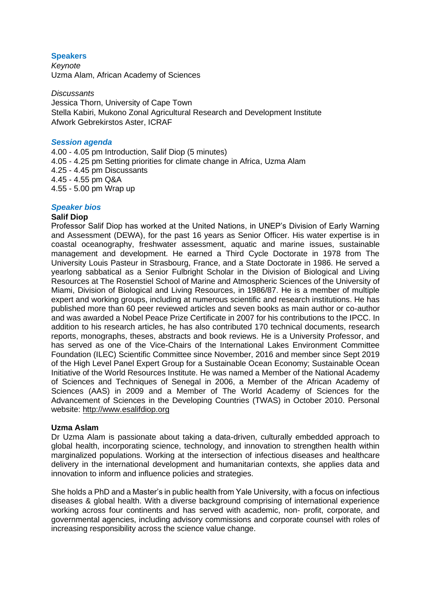# **Speakers**

*Keynote* Uzma Alam, African Academy of Sciences

*Discussants* Jessica Thorn, University of Cape Town Stella Kabiri, Mukono Zonal Agricultural Research and Development Institute Afwork Gebrekirstos Aster, ICRAF

#### *Session agenda*

4.00 - 4.05 pm Introduction, Salif Diop (5 minutes) 4.05 - 4.25 pm Setting priorities for climate change in Africa, Uzma Alam 4.25 - 4.45 pm Discussants 4.45 - 4.55 pm Q&A 4.55 - 5.00 pm Wrap up

#### *Speaker bios*

#### **Salif Diop**

Professor Salif Diop has worked at the United Nations, in UNEP's Division of Early Warning and Assessment (DEWA), for the past 16 years as Senior Officer. His water expertise is in coastal oceanography, freshwater assessment, aquatic and marine issues, sustainable management and development. He earned a Third Cycle Doctorate in 1978 from The University Louis Pasteur in Strasbourg, France, and a State Doctorate in 1986. He served a yearlong sabbatical as a Senior Fulbright Scholar in the Division of Biological and Living Resources at The Rosenstiel School of Marine and Atmospheric Sciences of the University of Miami, Division of Biological and Living Resources, in 1986/87. He is a member of multiple expert and working groups, including at numerous scientific and research institutions. He has published more than 60 peer reviewed articles and seven books as main author or co-author and was awarded a Nobel Peace Prize Certificate in 2007 for his contributions to the IPCC. In addition to his research articles, he has also contributed 170 technical documents, research reports, monographs, theses, abstracts and book reviews. He is a University Professor, and has served as one of the Vice-Chairs of the International Lakes Environment Committee Foundation (ILEC) Scientific Committee since November, 2016 and member since Sept 2019 of the High Level Panel Expert Group for a Sustainable Ocean Economy; Sustainable Ocean Initiative of the World Resources Institute. He was named a Member of the National Academy of Sciences and Techniques of Senegal in 2006, a Member of the African Academy of Sciences (AAS) in 2009 and a Member of The World Academy of Sciences for the Advancement of Sciences in the Developing Countries (TWAS) in October 2010. Personal website: [http://www.esalifdiop.org](http://www.esalifdiop.org/)

# **Uzma Aslam**

Dr Uzma Alam is passionate about taking a data-driven, culturally embedded approach to global health, incorporating science, technology, and innovation to strengthen health within marginalized populations. Working at the intersection of infectious diseases and healthcare delivery in the international development and humanitarian contexts, she applies data and innovation to inform and influence policies and strategies.

She holds a PhD and a Master's in public health from Yale University, with a focus on infectious diseases & global health. With a diverse background comprising of international experience working across four continents and has served with academic, non- profit, corporate, and governmental agencies, including advisory commissions and corporate counsel with roles of increasing responsibility across the science value change.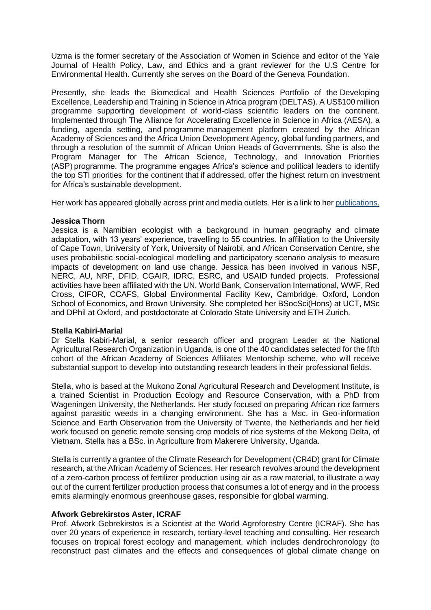Uzma is the former secretary of the Association of Women in Science and editor of the Yale Journal of Health Policy, Law, and Ethics and a grant reviewer for the U.S Centre for Environmental Health. Currently she serves on the Board of the Geneva Foundation.

Presently, she leads the Biomedical and Health Sciences Portfolio of the Developing Excellence, Leadership and Training in Science in Africa program (DELTAS). A US\$100 million programme supporting development of world-class scientific leaders on the continent. Implemented through The Alliance for Accelerating Excellence in Science in Africa (AESA), a funding, agenda setting, and programme management platform created by the African Academy of Sciences and the Africa Union Development Agency, global funding partners, and through a resolution of the summit of African Union Heads of Governments. She is also the Program Manager for The African Science, Technology, and Innovation Priorities (ASP) programme. The programme engages Africa's science and political leaders to identify the top STI priorities for the continent that if addressed, offer the highest return on investment for Africa's sustainable development.

Her work has appeared globally across print and media outlets. Her is a link to he[r publications.](https://www.researchgate.net/profile/Uzma_Alam)

#### **Jessica Thorn**

Jessica is a Namibian ecologist with a background in human geography and climate adaptation, with 13 years' experience, travelling to 55 countries. In affiliation to the University of Cape Town, University of York, University of Nairobi, and African Conservation Centre, she uses probabilistic social-ecological modelling and participatory scenario analysis to measure impacts of development on land use change. Jessica has been involved in various NSF, NERC, AU, NRF, DFID, CGAIR, IDRC, ESRC, and USAID funded projects. Professional activities have been affiliated with the UN, World Bank, Conservation International, WWF, Red Cross, CIFOR, CCAFS, Global Environmental Facility Kew, Cambridge, Oxford, London School of Economics, and Brown University. She completed her BSocSci(Hons) at UCT, MSc and DPhil at Oxford, and postdoctorate at Colorado State University and ETH Zurich.

# **Stella Kabiri-Marial**

Dr Stella Kabiri-Marial, a senior research officer and program Leader at the National Agricultural Research Organization in Uganda, is one of the 40 candidates selected for the fifth cohort of the African Academy of Sciences Affiliates Mentorship scheme, who will receive substantial support to develop into outstanding research leaders in their professional fields.

Stella, who is based at the Mukono Zonal Agricultural Research and Development Institute, is a trained Scientist in Production Ecology and Resource Conservation, with a PhD from Wageningen University, the Netherlands. Her study focused on preparing African rice farmers against parasitic weeds in a changing environment. She has a Msc. in Geo-information Science and Earth Observation from the University of Twente, the Netherlands and her field work focused on genetic remote sensing crop models of rice systems of the Mekong Delta, of Vietnam. Stella has a BSc. in Agriculture from Makerere University, Uganda.

Stella is currently a grantee of the Climate Research for Development (CR4D) grant for Climate research, at the African Academy of Sciences. Her research revolves around the development of a zero-carbon process of fertilizer production using air as a raw material, to illustrate a way out of the current fertilizer production process that consumes a lot of energy and in the process emits alarmingly enormous greenhouse gases, responsible for global warming.

# **Afwork Gebrekirstos Aster, ICRAF**

Prof. Afwork Gebrekirstos is a Scientist at the World Agroforestry Centre (ICRAF). She has over 20 years of experience in research, tertiary-level teaching and consulting. Her research focuses on tropical forest ecology and management, which includes dendrochronology (to reconstruct past climates and the effects and consequences of global climate change on